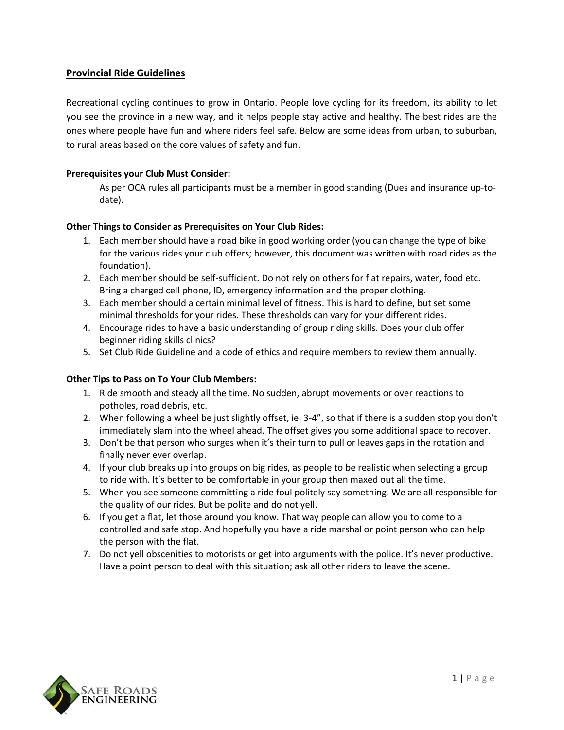# **Provincial Ride Guidelines**

Recreational cycling continues to grow in Ontario. People love cycling for its freedom, its ability to let you see the province in a new way, and it helps people stay active and healthy. The best rides are the ones where people have fun and where riders feel safe. Below are some ideas from urban, to suburban, to rural areas based on the core values of safety and fun.

# **Prerequisites your Club Must Consider:**

As per OCA rules all participants must be a member in good standing (Dues and insurance up-todate).

# **Other Things to Consider as Prerequisites on Your Club Rides:**

- 1. Each member should have a road bike in good working order (you can change the type of bike for the various rides your club offers; however, this document was written with road rides as the foundation).
- 2. Each member should be self-sufficient. Do not rely on others for flat repairs, water, food etc. Bring a charged cell phone, ID, emergency information and the proper clothing.
- 3. Each member should a certain minimal level of fitness. This is hard to define, but set some minimal thresholds for your rides. These thresholds can vary for your different rides.
- 4. Encourage rides to have a basic understanding of group riding skills. Does your club offer beginner riding skills clinics?
- 5. Set Club Ride Guideline and a code of ethics and require members to review them annually.

### **Other Tips to Pass on To Your Club Members:**

- 1. Ride smooth and steady all the time. No sudden, abrupt movements or over reactions to potholes, road debris, etc.
- 2. When following a wheel be just slightly offset, ie. 3-4", so that if there is a sudden stop you don't immediately slam into the wheel ahead. The offset gives you some additional space to recover.
- 3. Don't be that person who surges when it's their turn to pull or leaves gaps in the rotation and finally never ever overlap.
- 4. If your club breaks up into groups on big rides, as people to be realistic when selecting a group to ride with. It's better to be comfortable in your group then maxed out all the time.
- 5. When you see someone committing a ride foul politely say something. We are all responsible for the quality of our rides. But be polite and do not yell.
- 6. If you get a flat, let those around you know. That way people can allow you to come to a controlled and safe stop. And hopefully you have a ride marshal or point person who can help the person with the flat.
- 7. Do not yell obscenities to motorists or get into arguments with the police. It's never productive. Have a point person to deal with this situation; ask all other riders to leave the scene.

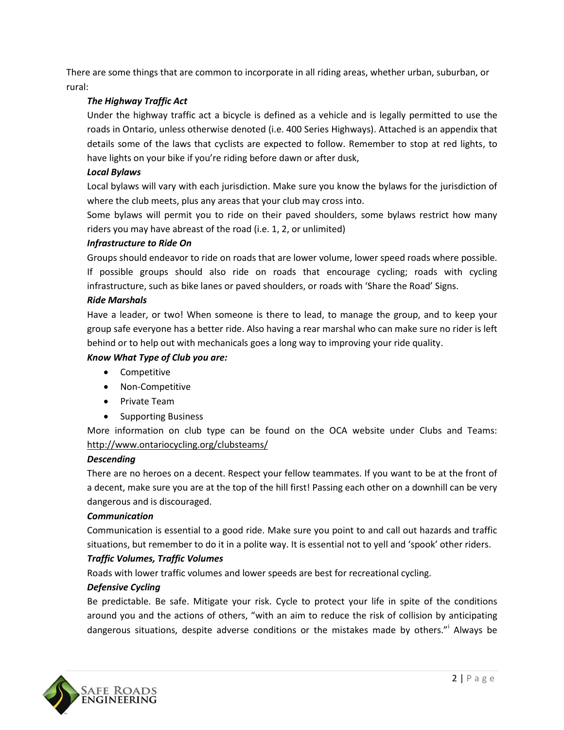There are some things that are common to incorporate in all riding areas, whether urban, suburban, or rural:

# *The Highway Traffic Act*

Under the highway traffic act a bicycle is defined as a vehicle and is legally permitted to use the roads in Ontario, unless otherwise denoted (i.e. 400 Series Highways). Attached is an appendix that details some of the laws that cyclists are expected to follow. Remember to stop at red lights, to have lights on your bike if you're riding before dawn or after dusk,

# *Local Bylaws*

Local bylaws will vary with each jurisdiction. Make sure you know the bylaws for the jurisdiction of where the club meets, plus any areas that your club may cross into.

Some bylaws will permit you to ride on their paved shoulders, some bylaws restrict how many riders you may have abreast of the road (i.e. 1, 2, or unlimited)

# *Infrastructure to Ride On*

Groups should endeavor to ride on roads that are lower volume, lower speed roads where possible. If possible groups should also ride on roads that encourage cycling; roads with cycling infrastructure, such as bike lanes or paved shoulders, or roads with 'Share the Road' Signs.

# *Ride Marshals*

Have a leader, or two! When someone is there to lead, to manage the group, and to keep your group safe everyone has a better ride. Also having a rear marshal who can make sure no rider is left behind or to help out with mechanicals goes a long way to improving your ride quality.

# *Know What Type of Club you are:*

- **•** Competitive
- Non-Competitive
- Private Team
- Supporting Business

More information on club type can be found on the OCA website under Clubs and Teams: <http://www.ontariocycling.org/clubsteams/>

### *Descending*

There are no heroes on a decent. Respect your fellow teammates. If you want to be at the front of a decent, make sure you are at the top of the hill first! Passing each other on a downhill can be very dangerous and is discouraged.

### *Communication*

Communication is essential to a good ride. Make sure you point to and call out hazards and traffic situations, but remember to do it in a polite way. It is essential not to yell and 'spook' other riders.

# *Traffic Volumes, Traffic Volumes*

Roads with lower traffic volumes and lower speeds are best for recreational cycling.

# *Defensive Cycling*

Be predictable. Be safe. Mitigate your risk. Cycle to protect your life in spite of the conditions around you and the actions of others, "with an aim to reduce the risk of collision by anticipating dangerous situations, despite adverse conditions or the mistakes made by others."<sup>i</sup> Always be

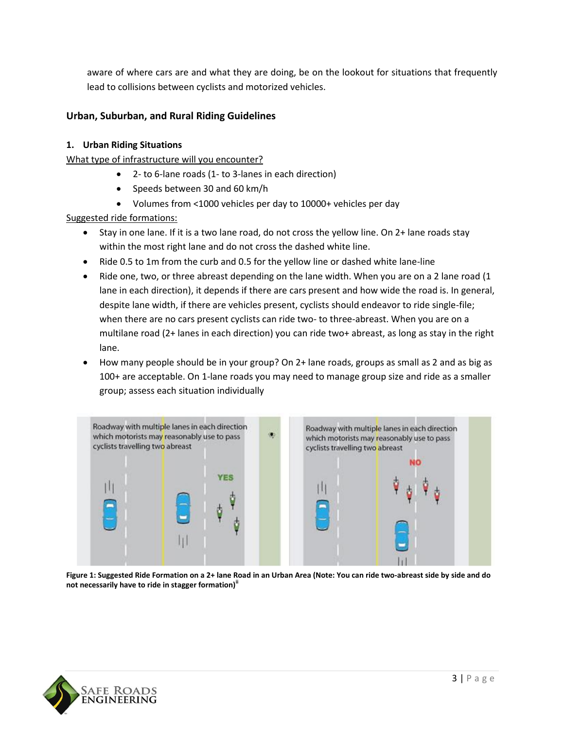aware of where cars are and what they are doing, be on the lookout for situations that frequently lead to collisions between cyclists and motorized vehicles.

# **Urban, Suburban, and Rural Riding Guidelines**

# **1. Urban Riding Situations**

What type of infrastructure will you encounter?

- 2- to 6-lane roads (1- to 3-lanes in each direction)
- Speeds between 30 and 60 km/h
- Volumes from <1000 vehicles per day to 10000+ vehicles per day

Suggested ride formations:

- Stay in one lane. If it is a two lane road, do not cross the yellow line. On 2+ lane roads stay within the most right lane and do not cross the dashed white line.
- Ride 0.5 to 1m from the curb and 0.5 for the yellow line or dashed white lane-line
- Ride one, two, or three abreast depending on the lane width. When you are on a 2 lane road (1) lane in each direction), it depends if there are cars present and how wide the road is. In general, despite lane width, if there are vehicles present, cyclists should endeavor to ride single-file; when there are no cars present cyclists can ride two- to three-abreast. When you are on a multilane road (2+ lanes in each direction) you can ride two+ abreast, as long as stay in the right lane.
- How many people should be in your group? On 2+ lane roads, groups as small as 2 and as big as 100+ are acceptable. On 1-lane roads you may need to manage group size and ride as a smaller group; assess each situation individually



**Figure 1: Suggested Ride Formation on a 2+ lane Road in an Urban Area (Note: You can ride two-abreast side by side and do not necessarily have to ride in stagger formation)ii**

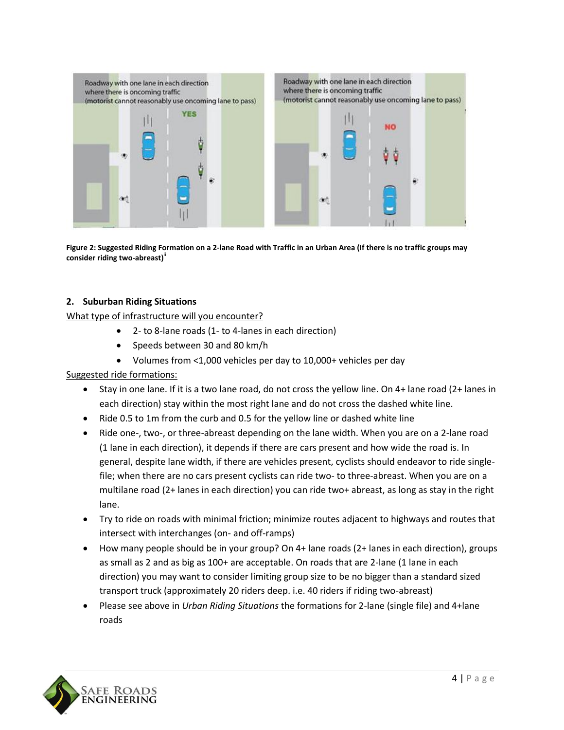

**Figure 2: Suggested Riding Formation on a 2-lane Road with Traffic in an Urban Area (If there is no traffic groups may consider riding two-abreast)**ii

# **2. Suburban Riding Situations**

What type of infrastructure will you encounter?

- 2- to 8-lane roads (1- to 4-lanes in each direction)
- Speeds between 30 and 80 km/h
- Volumes from <1,000 vehicles per day to 10,000+ vehicles per day

### Suggested ride formations:

- Stay in one lane. If it is a two lane road, do not cross the yellow line. On 4+ lane road (2+ lanes in each direction) stay within the most right lane and do not cross the dashed white line.
- Ride 0.5 to 1m from the curb and 0.5 for the yellow line or dashed white line
- Ride one-, two-, or three-abreast depending on the lane width. When you are on a 2-lane road (1 lane in each direction), it depends if there are cars present and how wide the road is. In general, despite lane width, if there are vehicles present, cyclists should endeavor to ride singlefile; when there are no cars present cyclists can ride two- to three-abreast. When you are on a multilane road (2+ lanes in each direction) you can ride two+ abreast, as long as stay in the right lane.
- Try to ride on roads with minimal friction; minimize routes adjacent to highways and routes that intersect with interchanges (on- and off-ramps)
- How many people should be in your group? On 4+ lane roads (2+ lanes in each direction), groups as small as 2 and as big as 100+ are acceptable. On roads that are 2-lane (1 lane in each direction) you may want to consider limiting group size to be no bigger than a standard sized transport truck (approximately 20 riders deep. i.e. 40 riders if riding two-abreast)
- Please see above in *Urban Riding Situations* the formations for 2-lane (single file) and 4+lane roads

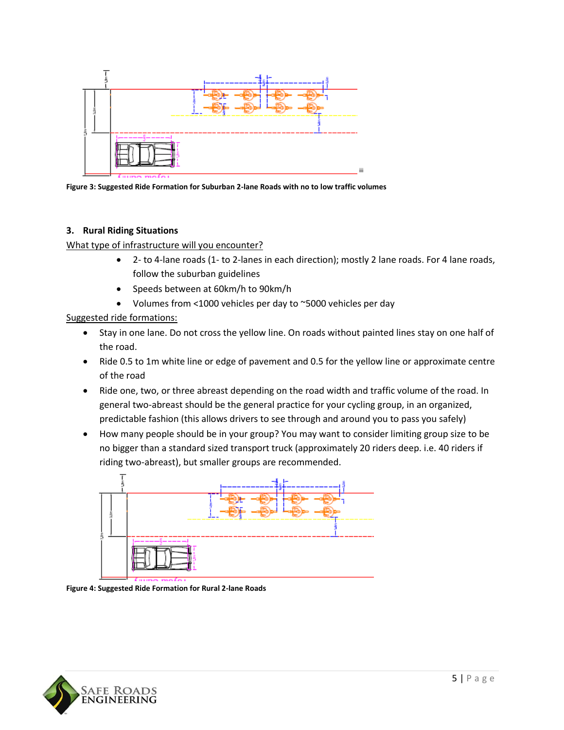

**Figure 3: Suggested Ride Formation for Suburban 2-lane Roads with no to low traffic volumes**

# **3. Rural Riding Situations**

What type of infrastructure will you encounter?

- 2- to 4-lane roads (1- to 2-lanes in each direction); mostly 2 lane roads. For 4 lane roads, follow the suburban guidelines
- Speeds between at 60km/h to 90km/h
- Volumes from <1000 vehicles per day to ~5000 vehicles per day

Suggested ride formations:

- Stay in one lane. Do not cross the yellow line. On roads without painted lines stay on one half of the road.
- Ride 0.5 to 1m white line or edge of pavement and 0.5 for the yellow line or approximate centre of the road
- Ride one, two, or three abreast depending on the road width and traffic volume of the road. In general two-abreast should be the general practice for your cycling group, in an organized, predictable fashion (this allows drivers to see through and around you to pass you safely)
- How many people should be in your group? You may want to consider limiting group size to be no bigger than a standard sized transport truck (approximately 20 riders deep. i.e. 40 riders if riding two-abreast), but smaller groups are recommended.



**Figure 4: Suggested Ride Formation for Rural 2-lane Roads**

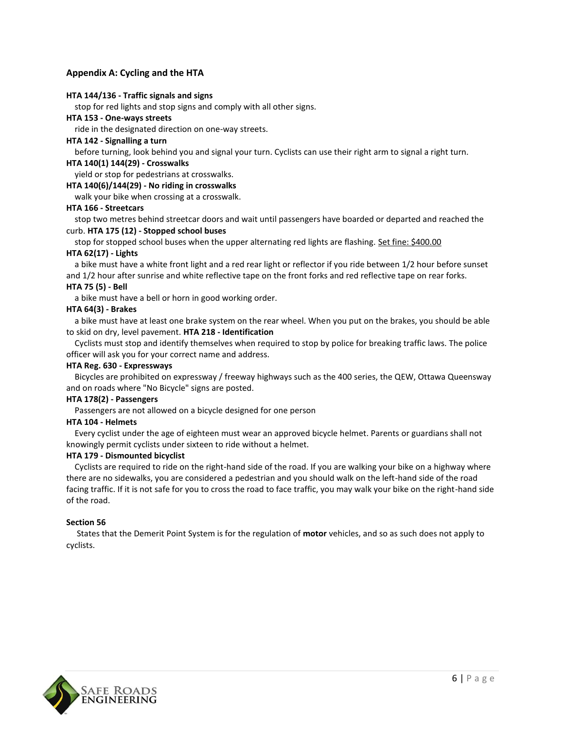### **Appendix A: Cycling and the HTA**

#### **HTA 144/136 - Traffic signals and signs**

stop for red lights and stop signs and comply with all other signs.

**HTA 153 - One-ways streets**

ride in the designated direction on one-way streets.

#### **HTA 142 - Signalling a turn**

before turning, look behind you and signal your turn. Cyclists can use their right arm to signal a right turn.

#### **HTA 140(1) 144(29) - Crosswalks**

yield or stop for pedestrians at crosswalks.

#### **HTA 140(6)/144(29) - No riding in crosswalks**

walk your bike when crossing at a crosswalk.

#### **HTA 166 - Streetcars**

 stop two metres behind streetcar doors and wait until passengers have boarded or departed and reached the curb. **HTA 175 (12) - Stopped school buses**

stop for stopped school buses when the upper alternating red lights are flashing. Set fine: \$400.00 **HTA 62(17) - Lights**

 a bike must have a white front light and a red rear light or reflector if you ride between 1/2 hour before sunset and 1/2 hour after sunrise and white reflective tape on the front forks and red reflective tape on rear forks.

#### **HTA 75 (5) - Bell**

a bike must have a bell or horn in good working order.

#### **HTA 64(3) - Brakes**

 a bike must have at least one brake system on the rear wheel. When you put on the brakes, you should be able to skid on dry, level pavement. **HTA 218 - Identification**

 Cyclists must stop and identify themselves when required to stop by police for breaking traffic laws. The police officer will ask you for your correct name and address.

#### **HTA Reg. 630 - Expressways**

 Bicycles are prohibited on expressway / freeway highways such as the 400 series, the QEW, Ottawa Queensway and on roads where "No Bicycle" signs are posted.

#### **HTA 178(2) - Passengers**

Passengers are not allowed on a bicycle designed for one person

#### **HTA 104 - Helmets**

 Every cyclist under the age of eighteen must wear an approved bicycle helmet. Parents or guardians shall not knowingly permit cyclists under sixteen to ride without a helmet.

#### **HTA 179 - Dismounted bicyclist**

Cyclists are required to ride on the right-hand side of the road. If you are walking your bike on a highway where there are no sidewalks, you are considered a pedestrian and you should walk on the left-hand side of the road facing traffic. If it is not safe for you to cross the road to face traffic, you may walk your bike on the right-hand side of the road.

#### **Section 56**

 States that the Demerit Point System is for the regulation of **motor** vehicles, and so as such does not apply to cyclists.